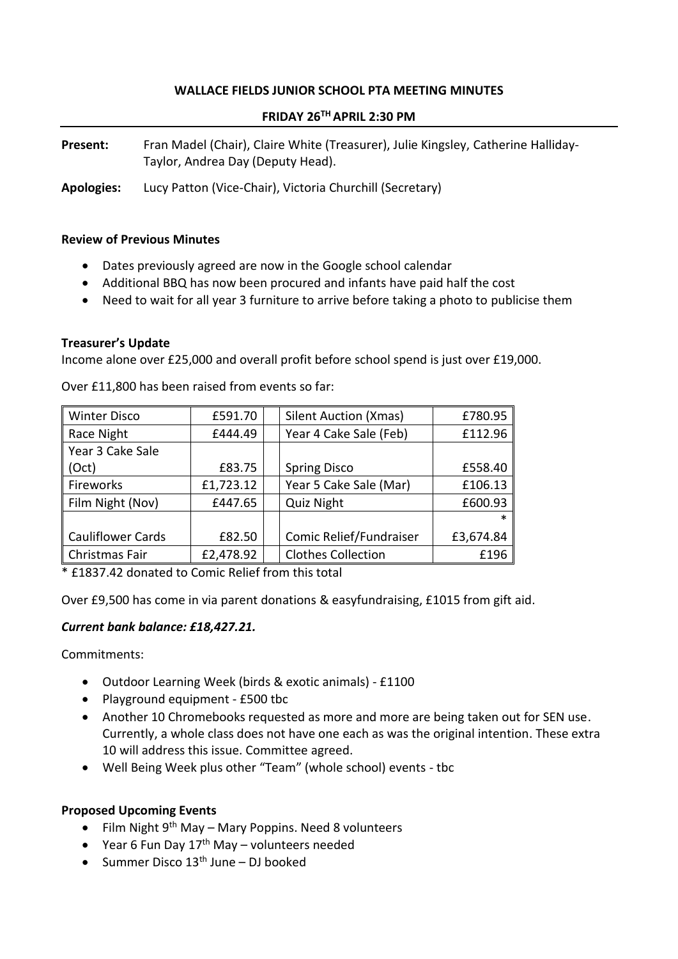# **WALLACE FIELDS JUNIOR SCHOOL PTA MEETING MINUTES**

### **FRIDAY 26TH APRIL 2:30 PM**

Present: Fran Madel (Chair), Claire White (Treasurer), Julie Kingsley, Catherine Halliday-Taylor, Andrea Day (Deputy Head).

**Apologies:** Lucy Patton (Vice-Chair), Victoria Churchill (Secretary)

### **Review of Previous Minutes**

- Dates previously agreed are now in the Google school calendar
- Additional BBQ has now been procured and infants have paid half the cost
- Need to wait for all year 3 furniture to arrive before taking a photo to publicise them

#### **Treasurer's Update**

Income alone over £25,000 and overall profit before school spend is just over £19,000.

| <b>Winter Disco</b>      | £591.70   | <b>Silent Auction (Xmas)</b> | £780.95   |
|--------------------------|-----------|------------------------------|-----------|
| Race Night               | £444.49   | Year 4 Cake Sale (Feb)       | £112.96   |
| Year 3 Cake Sale         |           |                              |           |
| (Oct)                    | £83.75    | <b>Spring Disco</b>          | £558.40   |
| Fireworks                | £1,723.12 | Year 5 Cake Sale (Mar)       | £106.13   |
| Film Night (Nov)         | £447.65   | <b>Quiz Night</b>            | £600.93   |
|                          |           |                              | $\ast$    |
| <b>Cauliflower Cards</b> | £82.50    | Comic Relief/Fundraiser      | £3,674.84 |
| Christmas Fair           | £2,478.92 | <b>Clothes Collection</b>    | £196      |

Over £11,800 has been raised from events so far:

\* £1837.42 donated to Comic Relief from this total

Over £9,500 has come in via parent donations & easyfundraising, £1015 from gift aid.

### *Current bank balance: £18,427.21.*

Commitments:

- Outdoor Learning Week (birds & exotic animals) £1100
- Playground equipment £500 tbc
- Another 10 Chromebooks requested as more and more are being taken out for SEN use. Currently, a whole class does not have one each as was the original intention. These extra 10 will address this issue. Committee agreed.
- Well Being Week plus other "Team" (whole school) events tbc

### **Proposed Upcoming Events**

- Film Night  $9<sup>th</sup>$  May Mary Poppins. Need 8 volunteers
- Year 6 Fun Day  $17<sup>th</sup>$  May volunteers needed
- Summer Disco  $13<sup>th</sup>$  June DJ booked